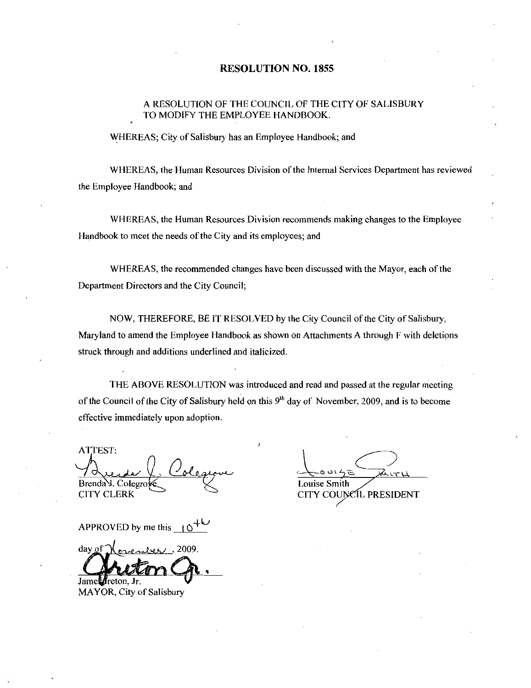#### RESOLUTION NO. 1855

## A RESOLUTION OF THE COUNCIL OF THE CITY OF SALISBURY<br>TO MODIFY THE EMPLOYEE HANDBOOK.

WHEREAS; City of Salisbury has an Employee Handbook; and

WHEREAS, the Human Resources Division of the Internal Services Department has reviewed the Employee Handbook; and

WHEREAS the Human Resources Division recommends making changes to the Employee Handbook to meet the needs of the City and its employees; and

WHEREAS, the recommended changes have been discussed with the Mayor, each of the Department Directors and the City Council

NOW, THEREFORE, BE IT RESOLVED by the City Council of the City of Salisbury, Maryland to amend the Employee Handbook as shown on Attachments Athrough <sup>F</sup> with deletions struck through and additions underlined and italicized

THE ABOVE RESOLUTION was introduced and read and passed at the regular meeting of the Council of the City of Salisbury held on this  $9<sup>th</sup>$  day of November, 2009, and is to become effective immediately upon adoption

ATTEST  $\checkmark$ Brenda Y. Colegi

CITY CLERK

.<br>4 نا د .<br>et h Louise Smith CITY COUNCIL PRESIDENT

APPROVED by me this  $\Box$  10

 $d$ av of s Jame<sup>*f*</sup>reton, Jr.

MAYOR, City of Salisbury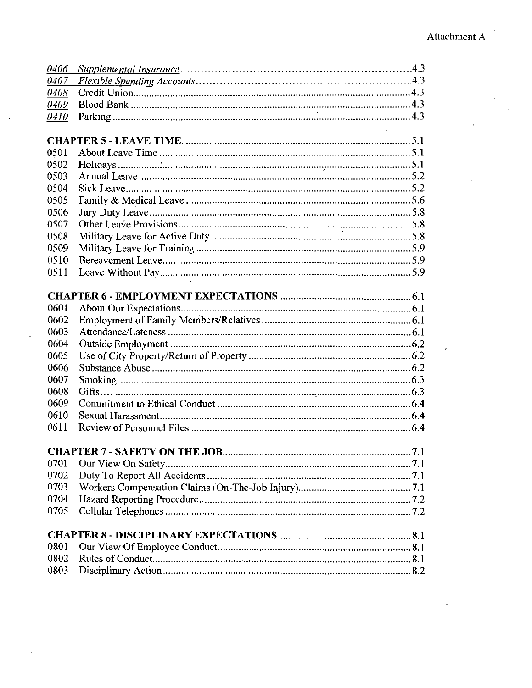|              | Attach |
|--------------|--------|
|              |        |
|              |        |
| 0406<br>0407 |        |
| 0408         |        |
| 0409         |        |
| 0410         |        |
|              |        |
| 0501         |        |
| 0502         |        |
| 0503<br>0504 |        |
| 0505         |        |
| 0506         |        |
| 0507         |        |
| 0508         |        |
| 0509<br>0510 |        |
| 0511         |        |
|              |        |
| 0601         |        |
| 0602         |        |
| 0603         |        |
| 0604         |        |
| 0605<br>0606 |        |
| 0607         |        |
| 0608         |        |
| 0609         |        |
| 0610<br>0611 |        |
|              |        |
|              |        |
| 0701<br>0702 |        |
| 0703         |        |
| 0704         |        |
| 0705         |        |
|              |        |
| 0801         |        |
| 0802         |        |
| 0803         |        |
|              |        |
|              |        |
|              |        |
|              |        |
|              |        |
|              |        |
|              |        |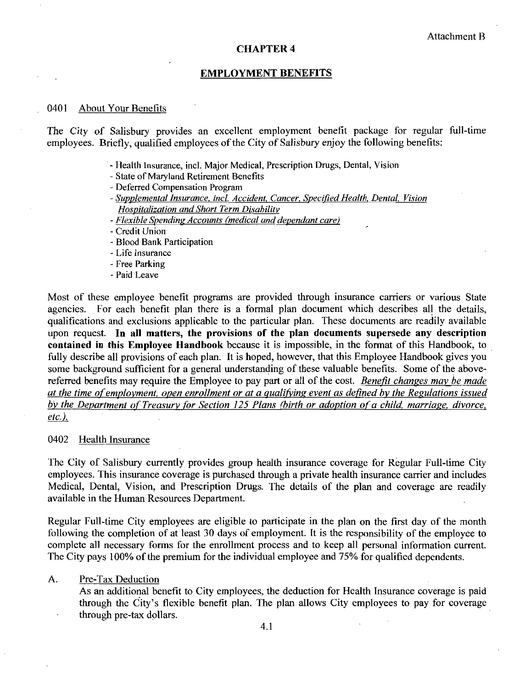#### CHAPTER 4

#### EMPLOYMENT BENEFITS

#### 0401 About Your Benefits

The City of Salisbury provides an excellent employment benefit package for regular full time employees. Briefly, qualified employees of the City of Salisbury enjoy the following benefits: our Benefits<br>alisbury provides an effy, qualified employees<br>Health Insurance, incl. Ma<br>State of Maryland Retirem<br>Deferred Compensation Pr<br>Supplemental Insurance, in<br>Hospitalization and Short<br>Flexible Spending Account<br>Credi

- Health Insurance, incl. Major Medical, Prescription Drugs, Dental, Vision
- State of Maryland Retirement Benefits
- Deferred Compensation Program
- Supplemental Insurance, incl. Accident, Cancer, Specified Health, Dental, Vision Hospitalization andShort Term Disability
- Flexible Spending Accounts (medical and dependant care)

#### Credit Union

- Blood Bank Participation
- Life Insurance
- Free Parking
- Paid Leave

Most of these employee benefit programs are provided through insurance carriers or various State agencies. For each benefit plan there is a formal plan document which describes all the details, qualifications and exclusions applicable to the particular plan. These documents are readily available upon request. In all matters, the provisions of the plan documents supersede any description contained in this Employee Handbook because it is impossible, in the format of this Handbook, to fully describe all provisions of each plan. It is hoped, however, that this Employee Handbook gives you some background sufficient for a general understanding of these valuable benefits. Some of the abovereferred benefits may require the Employee to pay part or all of the cost. Benefit changes may be made at the time of employment, open enrollment or at a qualifying event as defined by the Regulations issued by the Department of Treasury for Section 125 Plans (birth or adoption of a child, marriage, divorce,  $etc.$ ).

#### 0402 Health Insurance

The City of Salisbury currently provides group health insurance coverage for Regular Full time City employees. This insurance coverage is purchased through a private health insurance carrier and includes Medical, Dental, Vision, and Prescription Drugs. The details of the plan and coverage are readily available in the Human Resources Department

Regular Full-time City employees are eligible to participate in the plan on the first day of the month following the completion of at least 30 days of employment. It is the responsibility of the employee to complete all necessary forms for the enrollment process and to keep all personal information current The City pays 100% of the premium for the individual employee and 75% for qualified dependents.

#### A. Pre-Tax Deduction

As an additional benefit to City employees, the deduction for Health Insurance coverage is paid Pre-Tax Deduction<br>As an additional benefit to City employees, the deduction for Health Insurance coverage is paid<br>through the City's flexible benefit plan. The plan allows City employees to pay for coverage<br>through pre-tax through the City's flexible benefit plan. The plan allows City employees to pay for coverage through pre-tax dollars.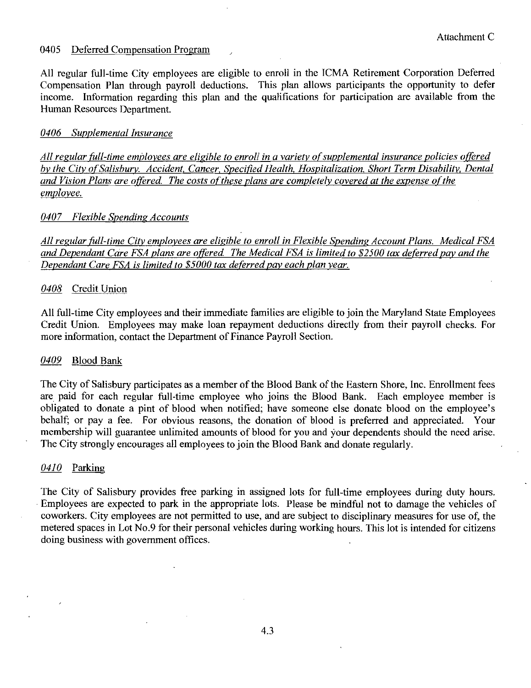#### 0405 Deferred Compensation Program

All regular full-time City employees are eligible to enroll in the ICMA Retirement Corporation Deferred Compensation Plan through payroll deductions. This plan allows participants the opportunity to defer income. Information regarding this plan and the qualifications for participation are available from the Human Resources Department

#### 0406 Supplemental Insurance

All regular full-time employees are eligible to enroll in a variety of supplemental insurance policies offered by the City of Salisbury. Accident, Cancer, Specified Health, Hospitalization, Short Term Disability, Dental and Vision Plans are offered. The costs of these plans are completely covered at the expense of the employee

#### 0407 Flexible Spending Accounts

All regular full-time City employees are eligible to enroll in Flexible Spending Account Plans. Medical FSA and Dependant Care FSA plans are offered. The Medical FSA is limited to \$2500 tax deferred pay and the Dependant Care  $FSA$  is limited to  $$5000$  tax deferred pay each plan year.

#### 0408 Credit Union

All full-time City employees and their immediate families are eligible to join the Maryland State Employees Credit Union. Employees may make loan repayment deductions directly from their payroll checks. For more information, contact the Department of Finance Payroll Section.

#### 0409 Blood Bank

The City of Salisbury participates as a member of the Blood Bank of the Eastern Shore, Inc. Enrollment fees The City of Salisbury participates as a member of the Blood Bank of the Eastern Shore, Inc. Enrollment fees are paid for each regular full-time employee who joins the Blood Bank. Each employee member is obligated to donate a pint of blood when notified have someone else donate blood behalf; or pay a fee. For obvious reasons, the donation of blood is preferred and appreciated. Your nc. Enrollment fees<br>ployee member is<br>on the employee's<br>appreciated. Your<br>puld the need arise. membership will guarantee unlimited amounts of blood for you and your dependents should the need arise. The City strongly encourages all employees to join the Blood Bank and donate regularly

#### $0410$  Parking

The City of Salisbury provides free parking in assigned lots for full-time employees during duty hours. Employees are expected to park in the appropriate lots. Please be mindful not to damage the vehicles of coworkers. City employees are not permitted to use, and are subject to disciplinary measures for use of, the Employees are expected to park in the appropriate lots. Please be mindful not to damage the vehicles of coworkers. City employees are not permitted to use, and are subject to disciplinary measures for use of, the metered s doing business with government offices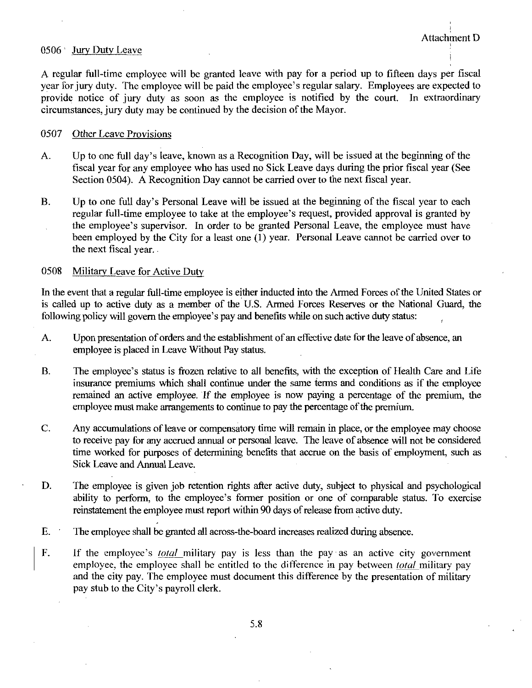#### 0506 Jury Duty Leave

<sup>A</sup> regulaz full time employee will be granted leave with pay for <sup>a</sup> period up to fifteen days per fiscal year for jury duty. The employee will be paid the employee's regular salary. Employees are expected to provide notice of jury duty as soon as the employee is notified by the court. In extraordinary circumstances, jury duty may be continued by the decision of the Mayor.

#### 0507 Other Leave Provisions

- A. Up to one full day's leave, known as a Recognition Day, will be issued at the beginning of the fiscal year for any employee who has used no Sick Leave days during the prior fiscal year (See Section 0504). A Recognition Day cannot be carried over to the next fiscal year.
- B. Up to one full day's Personal Leave will be issued at the beginning of the fiscal year to each regular full-time employee to take at the employee's request, provided approval is granted by Up to one full day's leave, known as a Recognition Day, will be issued at the beginning of the fiscal year for any employee who has used no Sick Leave days during the prior fiscal year (See Section 0504). A Recognition Da the employee state, and the act of sick Leave days during the prior fiscal year (See<br>Section 0504). A Recognition Day cannot be carried over to the next fiscal year.<br>Up to one full day's Personal Leave will be issued at th been employed by the City for a least one (1) year. Personal Leave cannot be carried over to the next fiscal year

#### 0508 Military Leave for Active Duty

In the event that a regular full-time employee is either inducted into the Armed Forces of the United States or In the event that a regular full-time employee is either inducted into the Armed Forces of the United States or is called up to active duty as a member of the U.S. Armed Forces Reserves or the National Guard, the following policy will govern the employee is either inducted into the Armed Forces of the<br>is called up to active duty as a member of the U.S. Armed Forces Reserves or the Nati<br>following policy will govern the employee's pa

- A. Upon presentation of orders and the establishment of an effective date for the leave of absence, an employee is placed in Leave Without Pay status
- is called up to active duty as a member of the U.S. Armed Forces Reserves or the National Guard, the following policy will govern the employee's pay and benefits while on such active duty status:<br>A. Upon presentation of or insurance premiums which shall continue under the same terms and conditions as if the employee remained an active employee. If the employee is now paying a percentage of the premium, the employee must make arrangements to continue to pay the percentage of the premium.
- C. Any accumulations of leave or compensatory time will remain in place, or the employee may choose to receive pay for any accmed annual or personal leave The leave of absence will not be considered time worked for purposes of determining benefits that accrue on the basis of employment, such as Sick Leave and Annual Leave Any accumulations of leave of compensatory time will remain in place, or the employee may choose to receive pay for any accrued annual or personal leave. The leave of absence will not be considered time worked for purposes
- D. The employee is given job retention rights after active duty, subject to physical and psychological reinstatement the employee must report within 90 days of release from active duty.
- E. The employee shall be granted all across-the-board increases realized during absence.
- F. The employee is given job retention rights atter active duty, subject to physical and psychological ability to perform, to the employee's former position or one of comparable status. To exerculture reinstatement the em employee, the employee shall be entitled to the difference in pay between *total* military pay and the city pay. The employee must document this difference by the presentation of military If the employee's <u>total</u> military pay is less than the pay as an active city government employee, the employee shall be entitled to the difference in pay between <u>total</u> military pay and the city pay. The employee must d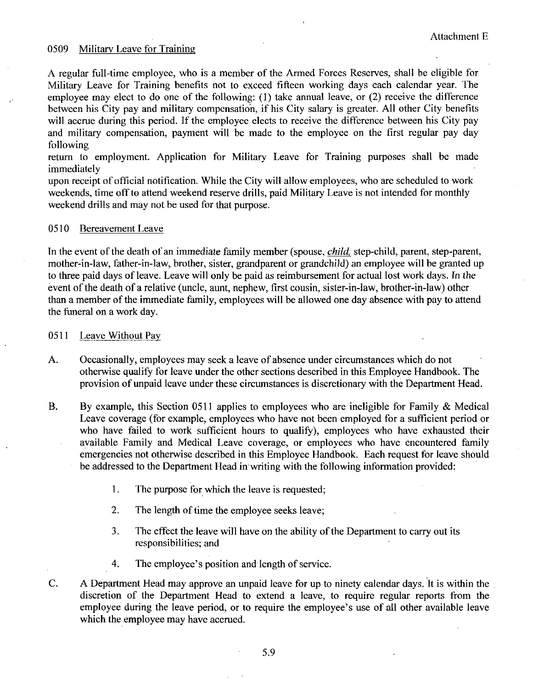#### 0509 Military Leave for Training

A regular full-time employee, who is a member of the Armed Forces Reserves, shall be eligible for Military Leave for Training benefits not to exceed fifteen working days each calendar yeaz The employee may elect to do one of the following:  $(1)$  take annual leave, or  $(2)$  receive the difference between his City pay and military compensation, if his City salary is greater. All other City benefits will accrue during this period. If the employee elects to receive the difference between his City pay and military compensation, payment will be made to the employee on the first regular pay day following

return to employment. Application for Military Leave for Training purposes shall be made immediately

upon receipt of official notification. While the City will allow employees, who are scheduled to work weekends, time off to attend weekend reserve drills, paid Military Leave is not intended for monthly weekend drills and may not be used for that purpose

#### 0510 Bereavement Leave

In the event of the death of an immediate family member (spouse, *child*, step-child, parent, step-parent, mother-in-law, father-in-law, brother, sister, grandparent or grandchild) an employee will be granted up weekend drills and may not be used for that purpose.<br>
0510 Bereavement Leave<br>
In the event of the death of an immediate family member (spouse, *child*, step-child, parent, step-parent,<br>
nother-in-law, father-in-law, brothe In the event of the death of an immediate family member (spouse, *child*, step-child, parent, step-pare mother-in-law, father-in-law, brother, sister, grandparent or grandchild) an employee will be granted to three paid d than a member of the immediate family, employees will be allowed one day absence with pay to attend the funeral on a work day.

#### 0511 Leave Without Pay

- A. Occasionally, employees may seek a leave of absence under circumstances which do not otherwise qualify for leave under the other sections described in this Employee Handbook The provision of unpaid leave under these circumstances is discretionary with the Department Head
- B. By example, this Section 0511 applies to employees who are ineligible for Family  $\&$  Medical Leave coverage (for example, employees who have not been employed for a sufficient period or who have failed to work sufficient hours to qualify), employees who have exhausted their available Family and Medical Leave coverage, or employees who have encountered family emergencies not otherwise described in this Employee Handbook Each request for leave should be addressed to the Department Head in writing with the following information provided
	- 1. The purpose for which the leave is requested;
	- 2. The length of time the employee seeks leave;
	- 3. The effect the leave will have on the ability of the Department to carry out its responsibilities: and
	- 4. The employee's position and length of service.
- C. A Department Head may approve an unpaid leave for up to ninety calendar days. It is within the discretion of the Department Head to extend a leave, to require regular reports from the employee during the leave period, or to require the employee's use of all other available leave which the employee may have accrued.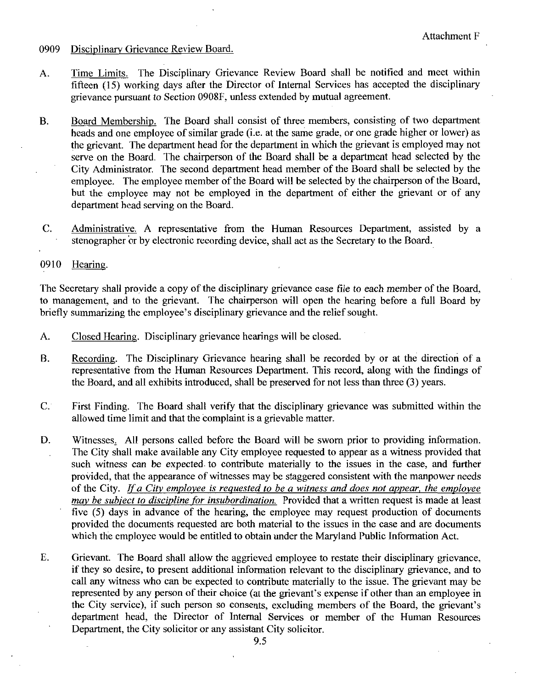- 0909 Disciplinary Grievance Review Board.
- A. Time Limits. The Disciplinary Grievance Review Board shall be notified and meet within fifteen (15) working days after the Director of Internal Services has accepted the disciplinary grievance pursuant to Section 0908F, unless extended by mutual agreement.
- B. Board Membership. The Board shall consist of three members, consisting of two department fifteen (15) working days after the Director of Internal Services has accepted the disciplinary<br>grievance pursuant to Section 0908F, unless extended by mutual agreement.<br>Board Membership. The Board shall consist of three m the grievant. The department head for the department in which the grievant is employed may not serve on the Boazd The chairperson of the Board shall be a department head selected by the City Administrator. The second department head member of the Board shall be selected by the employee. The employee member of the Board will be selected by the chairperson of the Board, but the employee may not be employed in the department of either the grievant or of any department head serving on the Board.
- C. Administrative. A representative from the Human Resources Department, assisted by a stenographer or by electronic recording device, shall act as the Secretary to the Board.
- 0910 Hearing.

The Secretary shall provide a copy of the disciplinary grievance case file to each member of the Board to management, and to the grievant. The chairperson will open the hearing before a full Board by briefly summarizing the employee's disciplinary grievance and the relief sought.<br>A. Closed Hearing. Disciplinary grievance hearings will be closed.

- Closed Hearing. Disciplinary grievance hearings will be closed.
- B. Recording. The Disciplinary Grievance hearing shall be recorded by or at the direction of a representative from the Human Resources Department. This record, along with the findings of the Board, and all exhibits introduced, shall be preserved for not less than three  $(3)$  years.
- C. First Finding. The Board shall verify that the disciplinary grievance was submitted within the allowed time limit and that the complaint is a grievable matter
- D. Witnesses, All persons called before the Board will be sworn prior to providing information. The City shall make available any City employee requested to appear as awitness provided that such witness can be expected to contribute materially to the issues in the case, and further provided, that the appearance of witnesses may be staggered consistent with the manpower needs of the City. If a City employee is requested to be a witness and does not appear, the employee may be subject to discipline for insubordination. Provided that a written request is made at least five  $(5)$  days in advance of the hearing, the employee may request production of documents provided the documents requested aze both material to the issues in the case and are documents which the employee would be entitled to obtain under the Maryland Public Information Act.
- E. Grievant. The Board shall allow the aggrieved employee to restate their disciplinary grievance, if they so desire, to present additional information relevant to the disciplinary grievance, and to call any witness who can be expected to contribute materially to the issue. The grievant may be represented by any person of their choice (at the grievant's expense if other than an employee in Frevant. The Board shall allow the aggrieved employee to restate their disciplinary grievance, if they so desire, to present additional information relevant to the disciplinary grievance, and to call any witness who can be the City service), if such person so consents, excluding members of the Board, the department head, the Director of Internal Services or member of the Human Resources grievance,<br>ce, and to<br>nt may be<br>ployee in<br>grievant's<br>Resources Department, the City solicitor or any assistant City solicitor.